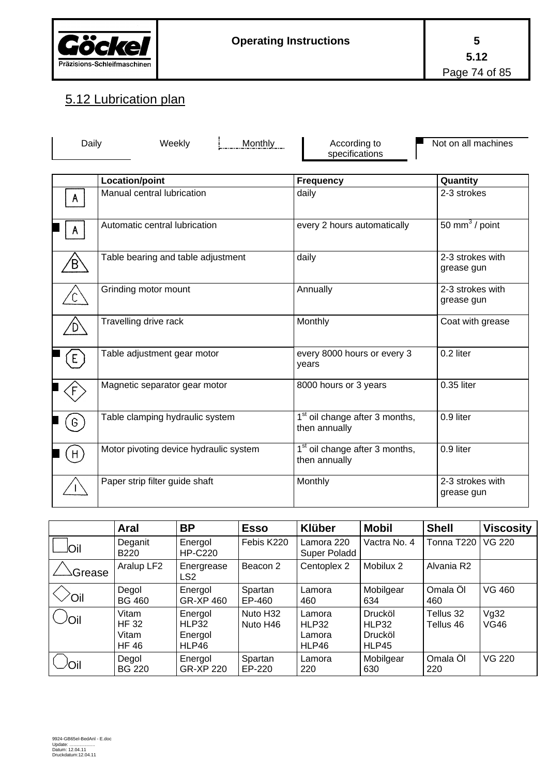

## 5.12 Lubrication plan

| Daily        | Weekly<br>Monthly                      | According to<br>specifications                              | Not on all machines            |  |
|--------------|----------------------------------------|-------------------------------------------------------------|--------------------------------|--|
|              | <b>Location/point</b>                  | <b>Frequency</b>                                            | Quantity                       |  |
| $\mathsf{A}$ | Manual central lubrication             | daily                                                       | 2-3 strokes                    |  |
| A            | Automatic central lubrication          | every 2 hours automatically                                 | 50 mm $3$ / point              |  |
| B,           | Table bearing and table adjustment     | daily                                                       | 2-3 strokes with<br>grease gun |  |
|              | Grinding motor mount                   | Annually                                                    | 2-3 strokes with<br>grease gun |  |
|              | Travelling drive rack                  | Monthly                                                     | Coat with grease               |  |
| E            | Table adjustment gear motor            | every 8000 hours or every 3<br>years                        | 0.2 liter                      |  |
|              | Magnetic separator gear motor          | 8000 hours or 3 years                                       | 0.35 liter                     |  |
|              | Table clamping hydraulic system        | 1 <sup>st</sup> oil change after 3 months,<br>then annually | 0.9 liter                      |  |
| $H_{\circ}$  | Motor pivoting device hydraulic system | 1 <sup>st</sup> oil change after 3 months,<br>then annually | 0.9 liter                      |  |
|              | Paper strip filter guide shaft         | Monthly                                                     | 2-3 strokes with<br>grease gun |  |

|        | Aral                                          | <b>BP</b>                            | <b>Esso</b>          | <b>Klüber</b>                      | <b>Mobil</b>                         | <b>Shell</b>           | <b>Viscosity</b> |
|--------|-----------------------------------------------|--------------------------------------|----------------------|------------------------------------|--------------------------------------|------------------------|------------------|
| loil   | Deganit<br>B <sub>220</sub>                   | Energol<br><b>HP-C220</b>            | Febis K220           | Lamora 220<br>Super Poladd         | Vactra No. 4                         | Tonna T220             | <b>VG 220</b>    |
| Grease | Aralup LF2                                    | Energrease<br>LS <sub>2</sub>        | Beacon 2             | Centoplex 2                        | Mobilux 2                            | Alvania R2             |                  |
| Oil    | Degol<br><b>BG 460</b>                        | Energol<br>GR-XP 460                 | Spartan<br>EP-460    | Lamora<br>460                      | Mobilgear<br>634                     | Omala Öl<br>460        | <b>VG 460</b>    |
| /Oil   | Vitam<br><b>HF32</b><br>Vitam<br><b>HF 46</b> | Energol<br>HLP32<br>Energol<br>HLP46 | Nuto H32<br>Nuto H46 | Lamora<br>HLP32<br>Lamora<br>HLP46 | Drucköl<br>HLP32<br>Drucköl<br>HLP45 | Tellus 32<br>Tellus 46 | Vg32<br>VG46     |
| Oil    | Degol<br><b>BG 220</b>                        | Energol<br><b>GR-XP 220</b>          | Spartan<br>EP-220    | Lamora<br>220                      | Mobilgear<br>630                     | Omala Öl<br>220        | <b>VG 220</b>    |